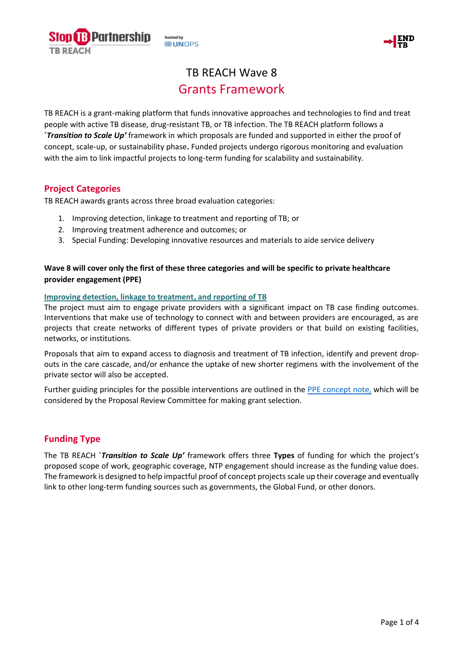hosted by **DUNOPS** 

**Partnership** 



# TB REACH Wave 8 Grants Framework

TB REACH is a grant-making platform that funds innovative approaches and technologies to find and treat people with active TB disease, drug-resistant TB, or TB infection. The TB REACH platform follows a **´***Transition to Scale Up'* framework in which proposals are funded and supported in either the proof of concept, scale-up, or sustainability phase**.** Funded projects undergo rigorous monitoring and evaluation with the aim to link impactful projects to long-term funding for scalability and sustainability.

# **Project Categories**

TB REACH awards grants across three broad evaluation categories:

- 1. Improving detection, linkage to treatment and reporting of TB; or
- 2. Improving treatment adherence and outcomes; or
- 3. Special Funding: Developing innovative resources and materials to aide service delivery

### **Wave 8 will cover only the first of these three categories and will be specific to private healthcare provider engagement (PPE)**

#### **Improving detection, linkage to treatment, and reporting of TB**

The project must aim to engage private providers with a significant impact on TB case finding outcomes. Interventions that make use of technology to connect with and between providers are encouraged, as are projects that create networks of different types of private providers or that build on existing facilities, networks, or institutions.

Proposals that aim to expand access to diagnosis and treatment of TB infection, identify and prevent dropouts in the care cascade, and/or enhance the uptake of new shorter regimens with the involvement of the private sector will also be accepted.

Further guiding principles for the possible interventions are outlined in the [PPE concept note,](http://www.stoptb.org/assets/documents/global/awards/tbreach/W8_PPE.pdf) which will be considered by the Proposal Review Committee for making grant selection.

# **Funding Type**

The TB REACH **´***Transition to Scale Up'* framework offers three **Types** of funding for which the project's proposed scope of work, geographic coverage, NTP engagement should increase as the funding value does. The framework is designed to help impactful proof of concept projectsscale up their coverage and eventually link to other long-term funding sources such as governments, the Global Fund, or other donors.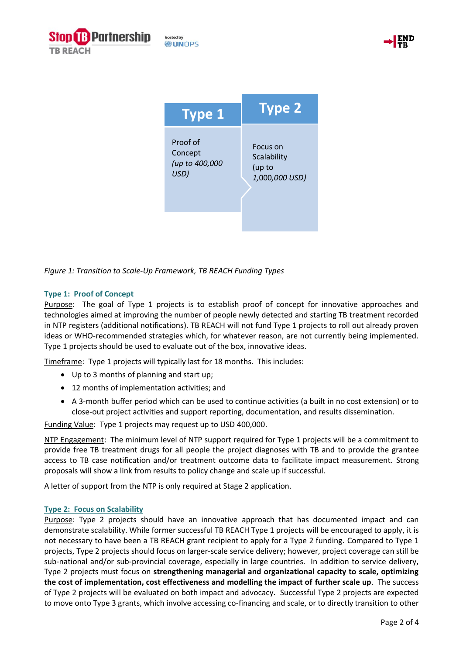



| <b>Type 1</b>  | <b>Type 2</b>  |
|----------------|----------------|
| Proof of       | Focus on       |
| Concept        | Scalability    |
| (up to 400,000 | (up to         |
| USD)           | 1,000,000 USD) |

*Figure 1: Transition to Scale-Up Framework, TB REACH Funding Types*

#### **Type 1: Proof of Concept**

Purpose: The goal of Type 1 projects is to establish proof of concept for innovative approaches and technologies aimed at improving the number of people newly detected and starting TB treatment recorded in NTP registers (additional notifications). TB REACH will not fund Type 1 projects to roll out already proven ideas or WHO-recommended strategies which, for whatever reason, are not currently being implemented. Type 1 projects should be used to evaluate out of the box, innovative ideas.

Timeframe: Type 1 projects will typically last for 18 months. This includes:

- Up to 3 months of planning and start up;
- 12 months of implementation activities; and
- A 3-month buffer period which can be used to continue activities (a built in no cost extension) or to close-out project activities and support reporting, documentation, and results dissemination.

Funding Value: Type 1 projects may request up to USD 400,000.

NTP Engagement: The minimum level of NTP support required for Type 1 projects will be a commitment to provide free TB treatment drugs for all people the project diagnoses with TB and to provide the grantee access to TB case notification and/or treatment outcome data to facilitate impact measurement. Strong proposals will show a link from results to policy change and scale up if successful.

A letter of support from the NTP is only required at Stage 2 application.

#### **Type 2: Focus on Scalability**

Purpose: Type 2 projects should have an innovative approach that has documented impact and can demonstrate scalability. While former successful TB REACH Type 1 projects will be encouraged to apply, it is not necessary to have been a TB REACH grant recipient to apply for a Type 2 funding. Compared to Type 1 projects, Type 2 projects should focus on larger-scale service delivery; however, project coverage can still be sub-national and/or sub-provincial coverage, especially in large countries. In addition to service delivery, Type 2 projects must focus on **strengthening managerial and organizational capacity to scale, optimizing the cost of implementation, cost effectiveness and modelling the impact of further scale up**. The success of Type 2 projects will be evaluated on both impact and advocacy. Successful Type 2 projects are expected to move onto Type 3 grants, which involve accessing co-financing and scale, or to directly transition to other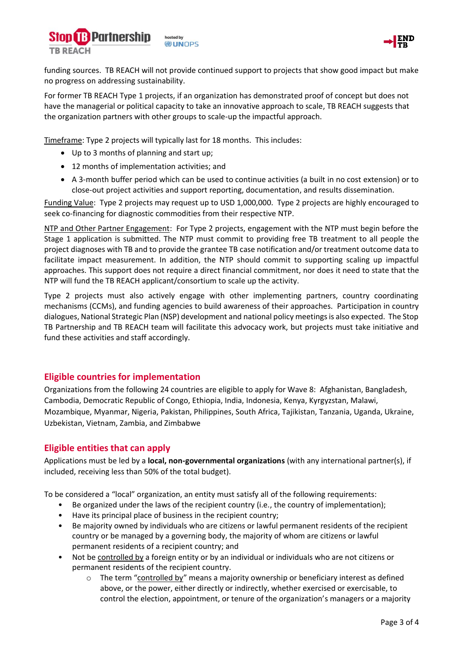



funding sources. TB REACH will not provide continued support to projects that show good impact but make no progress on addressing sustainability.

For former TB REACH Type 1 projects, if an organization has demonstrated proof of concept but does not have the managerial or political capacity to take an innovative approach to scale, TB REACH suggests that the organization partners with other groups to scale-up the impactful approach.

Timeframe: Type 2 projects will typically last for 18 months. This includes:

- Up to 3 months of planning and start up;
- 12 months of implementation activities; and
- A 3-month buffer period which can be used to continue activities (a built in no cost extension) or to close-out project activities and support reporting, documentation, and results dissemination.

Funding Value: Type 2 projects may request up to USD 1,000,000. Type 2 projects are highly encouraged to seek co-financing for diagnostic commodities from their respective NTP.

NTP and Other Partner Engagement: For Type 2 projects, engagement with the NTP must begin before the Stage 1 application is submitted. The NTP must commit to providing free TB treatment to all people the project diagnoses with TB and to provide the grantee TB case notification and/or treatment outcome data to facilitate impact measurement. In addition, the NTP should commit to supporting scaling up impactful approaches. This support does not require a direct financial commitment, nor does it need to state that the NTP will fund the TB REACH applicant/consortium to scale up the activity.

Type 2 projects must also actively engage with other implementing partners, country coordinating mechanisms (CCMs), and funding agencies to build awareness of their approaches. Participation in country dialogues, National Strategic Plan (NSP) development and national policy meetings is also expected. The Stop TB Partnership and TB REACH team will facilitate this advocacy work, but projects must take initiative and fund these activities and staff accordingly.

# **Eligible countries for implementation**

Organizations from the following 24 countries are eligible to apply for Wave 8: Afghanistan, Bangladesh, Cambodia, Democratic Republic of Congo, Ethiopia, India, Indonesia, Kenya, Kyrgyzstan, Malawi, Mozambique, Myanmar, Nigeria, Pakistan, Philippines, South Africa, Tajikistan, Tanzania, Uganda, Ukraine, Uzbekistan, Vietnam, Zambia, and Zimbabwe

# **Eligible entities that can apply**

Applications must be led by a **local, non-governmental organizations** (with any international partner(s), if included, receiving less than 50% of the total budget).

To be considered a "local" organization, an entity must satisfy all of the following requirements:

- Be organized under the laws of the recipient country (i.e., the country of implementation);
- Have its principal place of business in the recipient country;
- Be majority owned by individuals who are citizens or lawful permanent residents of the recipient country or be managed by a governing body, the majority of whom are citizens or lawful permanent residents of a recipient country; and
- Not be controlled by a foreign entity or by an individual or individuals who are not citizens or permanent residents of the recipient country.
	- $\circ$  The term "controlled by" means a majority ownership or beneficiary interest as defined above, or the power, either directly or indirectly, whether exercised or exercisable, to control the election, appointment, or tenure of the organization's managers or a majority